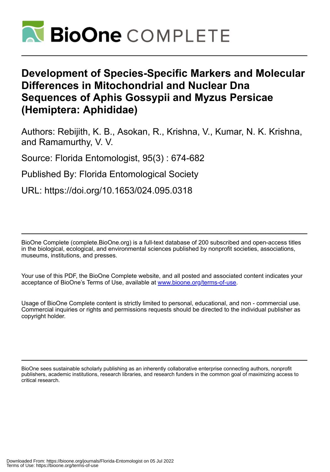

# **Development of Species-Specific Markers and Molecular Differences in Mitochondrial and Nuclear Dna Sequences of Aphis Gossypii and Myzus Persicae (Hemiptera: Aphididae)**

Authors: Rebijith, K. B., Asokan, R., Krishna, V., Kumar, N. K. Krishna, and Ramamurthy, V. V.

Source: Florida Entomologist, 95(3) : 674-682

Published By: Florida Entomological Society

URL: https://doi.org/10.1653/024.095.0318

BioOne Complete (complete.BioOne.org) is a full-text database of 200 subscribed and open-access titles in the biological, ecological, and environmental sciences published by nonprofit societies, associations, museums, institutions, and presses.

Your use of this PDF, the BioOne Complete website, and all posted and associated content indicates your acceptance of BioOne's Terms of Use, available at www.bioone.org/terms-of-use.

Usage of BioOne Complete content is strictly limited to personal, educational, and non - commercial use. Commercial inquiries or rights and permissions requests should be directed to the individual publisher as copyright holder.

BioOne sees sustainable scholarly publishing as an inherently collaborative enterprise connecting authors, nonprofit publishers, academic institutions, research libraries, and research funders in the common goal of maximizing access to critical research.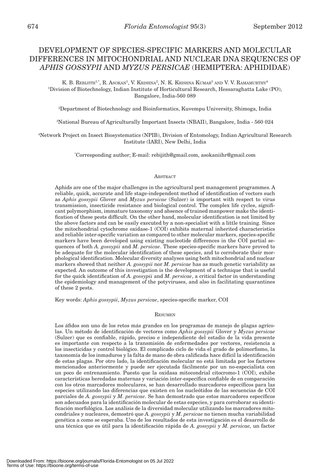# DEVELOPMENT OF SPECIES-SPECIFIC MARKERS AND MOLECULAR DIFFERENCES IN MITOCHONDRIAL AND NUCLEAR DNA SEQUENCES OF *APHIS GOSSYPII* AND *MYZUS PERSICAE* (HEMIPTERA: APHIDIDAE)

K. B. REBIJITH<sup>1,\*</sup>, R. Asokan<sup>1</sup>, V. Krishna<sup>2</sup>, N. K. Krishna Kumar<sup>3</sup> and V. V. Ramamurthy<sup>4</sup> 1 Division of Biotechnology, Indian Institute of Horticultural Research, Hessaraghatta Lake (PO), Bangalore, India-560 089

2 Department of Biotechnology and Bioinformatics, Kuvempu University, Shimoga, India

3 National Bureau of Agriculturally Important Insects (NBAII), Bangalore, India - 560 024

4 Network Project on Insect Biosystematics (NPIB), Division of Entomology, Indian Agricultural Research Institute (IARI), New Delhi, India

\* Corresponding author; E-mail: rebijith@gmail.com, asokaniihr@gmail.com

# **ABSTRACT**

Aphids are one of the major challenges in the agricultural pest management programmes. A reliable, quick, accurate and life stage-independent method of identification of vectors such as *Aphis gossypii* Glover and *Myzus persicae* (Sulzer) is important with respect to virus transmission, insecticide resistance and biological control. The complex life cycles, significant polymorphism, immature taxonomy and absence of trained manpower make the identification of these pests difficult. On the other hand, molecular identification is not limited by the above factors and can be easily executed by a non-specialist with a little training. Since the mitochondrial cytochrome oxidase-1 (COI) exhibits maternal inherited characteristics and reliable inter-specific variation as compared to other molecular markers, species-specific markers have been developed using existing nucleotide differences in the COI partial sequences of both *A. gossypii* and *M. persicae*. These species-specific markers have proved to be adequate for the molecular identification of these species, and to corroborate their morphological identification. Molecular diversity analyses using both mitochondrial and nuclear markers showed that neither *A. gossypii* nor *M. persicae* has as much genetic variability as expected. An outcome of this investigation is the development of a technique that is useful for the quick identification of *A. gossypii* and *M. persicae*, a critical factor in understanding the epidemiology and management of the potyviruses, and also in facilitating quarantines of these 2 pests.

Key words: *Aphis gossypii*, *Myzus persicae*, species-specific marker, COI

## **RESUMEN**

Los áfidos son uno de los retos más grandes en los programas de manejo de plagas agrícolas. Un método de identificación de vectores como *Aphis gossypii* Glover y *Myzus persicae* (Sulzer) que es confiable, rápido, preciso e independiente del estadio de la vida presente es importante con respecto a la transmisión de enfermedades por vectores, resistencia a los insecticidas y control biológico. El complicado ciclo de vida el grado de polimorfismo, la taxonomía de los inmaduros y la falta de mano de obra calificada hace difícil la identificación de estas plagas. Por otro lado, la identificación molecular no está limitada por los factores mencionados anteriormente y puede ser ejecutada fácilmente por un no-especialista con un poco de entrenamiento. Puesto que la oxidasa mitocondrial citocromo-1 (COI), exhibe características heredadas maternas y variación inter-específica confiable de en comparación con los otros marcadores moleculares, se han desarrollado marcadores específicos para las especies utilizando las diferencias que existen en los nucleótidos de las secuencias de COI parciales de *A. gossypii* y *M. persicae*. Se han demostrado que estos marcadores específicos son adecuados para la identificación molecular de estas especies, y para corroborar su identificación morfológica. Los análisis de la diversidad molecular utilizando los marcadores mitocondriales y nucleares, demostró que *A. gossypii* y *M. persicae* no tienen mucha variabilidad genética a como se esperaba. Uno de los resultados de esta investigación es el desarrollo de una técnica que es útil para la identificación rápida de *A. gossypii* y *M. persicae,* un factor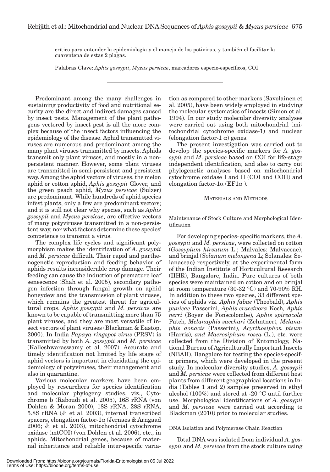crítico para entender la epidemiología y el manejo de los potivirus, y también el facilitar la cuarentena de estas 2 plagas.

Palabras Clave: *Aphis gossypii*, *Myzus persicae*, marcadores especie-específicos, COI

Predominant among the many challenges in sustaining productivity of food and nutritional security are the direct and indirect damages caused by insect pests. Management of the plant pathogens vectored by insect pest is all the more complex because of the insect factors influencing the epidemiology of the disease. Aphid transmitted viruses are numerous and predominant among the many plant viruses transmitted by insects. Aphids transmit only plant viruses, and mostly in a nonpersistent manner. However, some plant viruses are transmitted in semi-persistent and persistent way. Among the aphid vectors of viruses, the melon aphid or cotton aphid, *Aphis gossypii* Glover*,* and the green peach aphid, *Myzus persicae* (Sulzer) are predominant. While hundreds of aphid species infest plants, only a few are predominant vectors; and it is still not clear why species, such as *Aphis gossypii* and *Myzus persicae*, are effective vectors of many potyviruses transmitted in a non-persistent way, nor what factors determine these species' competence to transmit a virus.

The complex life cycles and significant polymorphism makes the identification of *A. gossypii* and *M. persicae* difficult. Their rapid and parthenogenetic reproduction and feeding behavior of aphids results inconsiderable crop damage. Their feeding can cause the induction of premature leaf senescence (Shah et al. 2005), secondary pathogen infection through fungal growth on aphid honeydew and the transmission of plant viruses, which remains the greatest threat for agricultural crops. *Aphis gossypii* and *M. persicae* are known to be capable of transmitting more than 75 plant viruses, and they are most versatile of insect vectors of plant viruses (Blackman & Eastop, 2000). In India *Papaya ringspot virus* (PRSV) is transmitted by both *A. gossypii* and *M. persicae* (Kalleshwaraswamy et al. 2007). Accurate and timely identification not limited by life stage of aphid vectors is important in elucidating the epidemiology of potyviruses, their management and also in quarantine.

Various molecular markers have been employed by researchers for species identification and molecular phylogeny studies, viz., Cytochrome b (Raboudi et al. 2005), 16S rRNA (von Dohlen & Moran 2000), 18S rRNA, 28S rRNA, 5.8S rRNA (Ji et al. 2003), internal transcribed spacers, elongation factor-1 $\alpha$  (Jernaes & Arngaad 2006; Ji et al. 2003), mitochondrial cytochrome oxidase (mtCOI) (von Dohlen et al. 2006), etc., in aphids. Mitochondrial genes, because of maternal inheritance and reliable inter-specific varia-

tion as compared to other markers (Savolainen et al. 2005), have been widely employed in studying the molecular systematics of insects (Simon et al. 1994). In our study molecular diversity analyses were carried out using both mitochondrial (mitochondrial cytochrome oxidase-1) and nuclear (elongation factor-1  $\alpha$ ) genes.

The present investigation was carried out to develop the species-specific markers for *A. gossypii* and *M*. *persicae* based on COI for life-stage independent identification, and also to carry out phylogenetic analyses based on mitochondrial cytochrome oxidase I and II (COI and COII) and elongation factor-1 $\alpha$  (EF1 $\alpha$ ).

# MATERIALS AND METHODS

Maintenance of Stock Culture and Morphological Identification

For developing species- specific markers, the *A. gossypii* and *M. persicae*, were collected on cotton (*Gossypium hirsutum* L.; Malvales: Malvaceae), and brinjal (*Solanum melongena* L; Solanales: Solanaceae**)** respectively, at the experimental farm of the Indian Institute of Horticultural Research (IIHR), Bangalore, India. Pure cultures of both species were maintained on cotton and on brinjal at room temperature (30-32 °C) and 70-90% RH. In addition to these two species, 33 different species of aphids viz. *Aphis fabae* (Theobald), *Aphis punicae* Passerini*, Aphis craccivora* Koch*, Aphis nerri* (Boyer de Fonscolombe)*, Aphis spireacola* Patch*, Melanaphis sacchari* (Zehntner)*, Melanaphis donacis* (Passerini)*, Acyrthosiphon pisum* (Harris)*, and Macrosiphum rosea* (L.), etc. were collected from the Division of Entomology, National Bureau of Agriculturally Important Insects (NBAII), Bangalore for testing the species-specific primers, which were developed in the present study. In molecular diversity studies, *A. gossypii* and *M. persicae* were collected from different host plants from different geographical locations in India (Tables 1 and 2) samples preserved in ethyl alcohol (100%) and stored at -20 °C until further use. Morphological identifications of *A. gossypii* and *M. persicae* were carried out according to Blackman (2010) prior to molecular studies.

# DNA Isolation and Polymerase Chain Reaction

Total DNA was isolated from individual *A. gossypii* and *M. persicae* from the stock culture using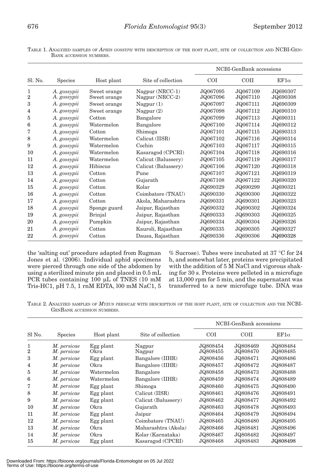TABLE 1. ANALYZED SAMPLES OF *APHIS GOSSYPII* WITH DESCRIPTION OF THE HOST PLANT, SITE OF COLLECTION AND NCBI-GEN-BANK ACCESSION NUMBERS.

|                     |                            |                              |                                    |                      | NCBI-GenBank accessions |                      |
|---------------------|----------------------------|------------------------------|------------------------------------|----------------------|-------------------------|----------------------|
| Sl. No.             | Species                    | Host plant                   | Site of collection                 | <b>COI</b>           | COII                    | $EF1\alpha$          |
| 1<br>$\overline{2}$ | A. gossypii<br>A. gossypii | Sweet orange<br>Sweet orange | Nagpur (NRCC-1)<br>Nagpur (NRCC-2) | JQ067095<br>JQ067096 | JQ067109<br>JQ067110    | JQ690307<br>JQ690308 |
| 3                   | A. gossypii                | Sweet orange                 | Nagpur $(1)$                       | JQ067097             | JQ067111                | JQ690309             |
| 4                   | A. gossypii                | Sweet orange                 | Nagpur $(2)$                       | JQ067098             | JQ067112                | JQ690310             |
| 5                   | A. gossypii                | Cotton                       | Bangalore                          | JQ067099             | JQ067113                | JQ690311             |
| 6                   | A. gossypii                | Watermelon                   | Bangalore                          | JQ067100             | JQ067114                | JQ690312             |
| 7                   | A. gossypii                | Cotton                       | Shimoga                            | JQ067101             | JQ067115                | JQ690313             |
| 8                   | A. gossypii                | Watermelon                   | Calicut (IISR)                     | JQ067102             | JQ067116                | JQ690314             |
| 9                   | A. gossypii                | Watermelon                   | Cochin                             | JQ067103             | JQ067117                | JQ690315             |
| 10                  | A. gossypii                | Watermelon                   | Kasaragod (CPCRI)                  | JQ067104             | JQ067118                | JQ690316             |
| 11                  | A. gossypii                | Watermelon                   | Calicut (Balussery)                | JQ067105             | JQ067119                | JQ690317             |
| 12                  | A. gossypii                | Hibiscus                     | Calicut (Balussery)                | JQ067106             | JQ067120                | JQ690318             |
| 13                  | A. gossypii                | Cotton                       | Pune                               | JQ067107             | JQ067121                | JQ690319             |
| 14                  | A. gossypii                | Cotton                       | Gujarath                           | JQ067108             | JQ067122                | JQ690320             |
| 15                  | A. gossypii                | Cotton                       | Kolar                              | JQ690329             | JQ690299                | JQ690321             |
| 16                  | A. gossypii                | Cotton                       | Coimbatore (TNAU)                  | JQ690330             | JQ690300                | JQ690322             |
| 17                  | A. gossypii                | Cotton                       | Akola, Maharashtra                 | JQ690331             | JQ690301                | JQ690323             |
| 18                  | A. gossypii                | Sponge guard                 | Jaipur, Rajasthan                  | JQ690332             | JQ690302                | JQ690324             |
| 19                  | A. gossypii                | Brinjal                      | Jaipur, Rajasthan                  | JQ690333             | JQ690303                | JQ690325             |
| 20                  | A. gossypii                | Pumpkin                      | Jaipur, Rajasthan                  | JQ690334             | JQ690304                | JQ690326             |
| 21                  | A. gossypii                | Cotton                       | Kauroli, Rajasthan                 | JQ690335             | JQ690305                | JQ690327             |
| 22                  | A. gossypii                | Cotton                       | Dausa, Rajasthan                   | JQ690336             | JQ690306                | JQ690328             |

the 'salting out' procedure adapted from Rugman Jones et al. (2006). Individual aphid specimens were pierced through one side of the abdomen by using a sterilized minute pin and placed in 0.5 mL PCR tubes containing 100 μL of TNES (10 mM Tris-HC1, pH 7.5, 1 rnM EDTA, l00 mM NaC1, 5

% Sucrose). Tubes were incubated at 37 °C for 24 h, and somewhat later, proteins were precipitated with the addition of 5 M NaCl and vigorous shaking for 30 s. Proteins were pelleted in a microfuge at 13,000 rpm for 5 min, and the supernatant was transferred to a new microfuge tube. DNA was

TABLE 2. ANALYZED SAMPLES OF *MYZUS PERSICAE* WITH DESCRIPTION OF THE HOST PLANT, SITE OF COLLECTION AND THE NCBI-GENBANK ACCESSION NUMBERS.

|                     |                            |                   |                     |                      | NCBI-GenBank accessions |                      |
|---------------------|----------------------------|-------------------|---------------------|----------------------|-------------------------|----------------------|
| Sl No.              | <b>Species</b>             | Host plant        | Site of collection  | <b>COI</b>           | <b>COII</b>             | $EF1\alpha$          |
| 1<br>$\overline{2}$ | M. persicae<br>M. persicae | Egg plant<br>Okra | Nagpur<br>Nagpur    | JQ808454<br>JQ808455 | JQ808469<br>JQ808470    | JQ808484<br>JQ808485 |
| 3                   | M. persicae                | Egg plant         | Bangalore (IIHR)    | JQ808456             | JQ808471                | JQ808486             |
| 4                   | M. persicae                | Okra              | Bangalore (IIHR)    | JQ808457             | JQ808472                | JQ808487             |
| 5                   | M. persicae                | Watermelon        | Bangalore           | JQ808458             | JQ808473                | JQ808488             |
| 6                   | M. persicae                | Watermelon        | Bangalore (IIHR)    | JQ808459             | JQ808474                | JQ808489             |
| 7                   | M. persicae                | Egg plant         | Shimoga             | JQ808460             | JQ808475                | JQ808490             |
| 8                   | M. persicae                | Egg plant         | Calicut (IISR)      | JQ808461             | JQ808476                | JQ808491             |
| 9                   | M. persicae                | Egg plant         | Calicut (Balussery) | JQ808462             | JQ808477                | JQ808492             |
| 10                  | M. persicae                | Okra              | Gujarath            | JQ808463             | JQ808478                | JQ808493             |
| 11                  | M. persicae                | Egg plant         | Jaipur              | JQ808464             | JQ808479                | JQ808494             |
| 12                  | M. persicae                | Egg plant         | Coimbatore (TNAU)   | JQ808465             | JQ808480                | JQ808495             |
| 13                  | M. persicae                | Okra              | Maharashtra (Akola) | JQ808466             | JQ808481                | JQ808496             |
| 14                  | M. persicae                | Okra              | Kolar (Karnataka)   | JQ808467             | JQ808482                | JQ808497             |
| 15                  | M. persicae                | Egg plant         | Kasaragod (CPCRI)   | JQ808468             | JQ808483                | JQ808498             |

Downloaded From: https://bioone.org/journals/Florida-Entomologist on 05 Jul 2022 Terms of Use: https://bioone.org/terms-of-use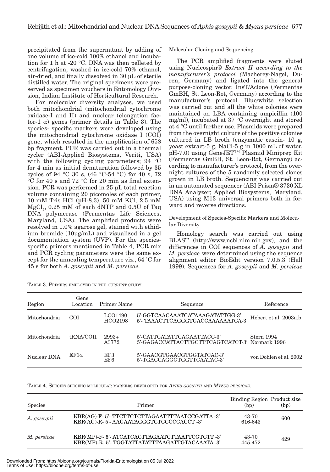precipitated from the supernatant by adding of one volume of ice-cold 100% ethanol and incubation for 1 h at -20 °C. DNA was then pelleted by centrifugation, washed in ice-cold 70% ethanol, air-dried, and finally dissolved in 30 μL of sterile distilled water. The original specimens were preserved as specimen vouchers in Entomology Division, Indian Institute of Horticultural Research.

For molecular diversity analyses, we used both mitochondrial (mitochondrial cytochrome oxidase-I and II) and nuclear (elongation factor-1  $\alpha$ ) genes (primer details in Table 3). The species- specific markers were developed using the mitochondrial cytochrome oxidase I (COI) gene, which resulted in the amplification of 658 bp fragment. PCR was carried out in a thermal cycler (ABI-Applied Biosystems, Veriti, USA) with the following cycling parameters; 94 °C for 4 min as initial denaturation followed by 35 cycles of 94 °C 30 s, (46 °C-54 °C) for 40 s, 72 °C for 40 s and 72 °C for 20 min as final extension. PCR was performed in 25 μL total reaction volume containing 20 picomoles of each primer, 10 mM Tris HCl (pH-8.3), 50 mM KCl, 2.5 mM  ${ {\rm MgCl}_2}, \, 0.25 \,$  mM of each dNTP and  $0.5{\rm U}$  of Taq DNA polymerase (Fermentas Life Sciences, Maryland, USA). The amplified products were resolved in 1.0% agarose gel, stained with ethidium bromide (10μg/mL) and visualized in a gel documentation system (UVP). For the speciesspecific primers mentioned in Table 4, PCR mix and PCR cycling parameters were the same except for the annealing temperature viz., 64 ˚C for 45 s for both *A. gossypii* and *M. persicae.*

| TABLE 3. PRIMERS EMPLOYED IN THE CURRENT STUDY. |
|-------------------------------------------------|
|-------------------------------------------------|

Molecular Cloning and Sequencing

The PCR amplified fragments were eluted using Nucleospin*® Extract II according to the manufacturer's protocol (*Macherey-Nagel, Duren, Germany) and ligated into the general purpose-cloning vector, InsT/Aclone (Fermentas GmBH, St. Leon-Rot, Germany) according to the manufacturer's protocol. Blue/white selection was carried out and all the white colonies were maintained on LBA containing ampicillin (100 mg/ml), incubated at 37 °C overnight and stored at 4 °C until further use. Plasmids were prepared from the overnight culture of the positive colonies cultured in LB broth (enzymatic casein- 10 g, yeast extract-5 g, NaCl-5 g in 1000 mL of water, pH-7.0) using GeneJET™ Plasmid Miniprep Kit (Fermentas GmBH, St. Leon-Rot, Germany) according to manufacturer's protocol, from the overnight cultures of the 5 randomly selected clones grown in LB broth. Sequencing was carried out in an automated sequencer (ABI Prism® 3730 XL DNA Analyzer; Applied Biosystems, Maryland, USA) using M13 universal primers both in forward and reverse directions.

Development of Species-Specific Markers and Molecular Diversity

Homology search was carried out using BLAST (http://www.ncbi.nlm.nih.gov), and the differences in COI sequences of *A. gossypii* and *M. persicae* were determined using the sequence alignment editor BioEdit version 7.0.5.3 (Hall 1999). Sequences for *A. gossypii* and *M. persicae*

| Region       | Gene<br>Location | Primer Name        | Sequence                                                                     | Reference              |
|--------------|------------------|--------------------|------------------------------------------------------------------------------|------------------------|
| Mitochondria | <b>COI</b>       | LCO1490<br>HCO2198 | 5'-GGTCAACAAATCATAAAGATATTGG-3'<br>5'- TAAACTTCAGGGTGACCAAAAAATCA-3'         | Hebert et al. 2003a,b  |
| Mitochondria | tRNA/COII        | $2993+$<br>A3772   | 5'-CATTCATATTCAGAATTACC-3'<br>5'-GAGACCATTACTTGCTTTCAGTCATCT-3' Normark 1996 | Stern 1994             |
| Nuclear DNA  | $EF1\alpha$      | EF3<br>EF6         | 5'-GAACGTGAACGTGGTATCAC-3'<br>5'-TGACCAGGGTGGTTCAATAC-3'                     | von Dohlen et al. 2002 |

TABLE 4. SPECIES SPECIFIC MOLECULAR MARKERS DEVELOPED FOR *APHIS GOSSYPII* AND *MYZUS PERSICAE.*

| <b>Species</b> | Primer                                                                                       | Binding Region Product size<br>(bp) | (bp) |
|----------------|----------------------------------------------------------------------------------------------|-------------------------------------|------|
| A. gossypii    | KBR(AG)-F-5'-TTCTTCTCTTAGAATTTTAATCCGATTA-3'<br>KBR(AG)-R-5'-AAGAATAGGGTCTCCCCCACCT-3'       | 43-70<br>616-643                    | 600  |
| M. persicae    | KBR(MP)-F-5'-ATCATCACTTAGAATCTTAATTCGTCTT-3'<br>KBR(MP)-R-5'-TGGTATTATATTTAAGATTGTACAAATA-3' | 43-70<br>445-472                    | 429  |

Downloaded From: https://bioone.org/journals/Florida-Entomologist on 05 Jul 2022 Terms of Use: https://bioone.org/terms-of-use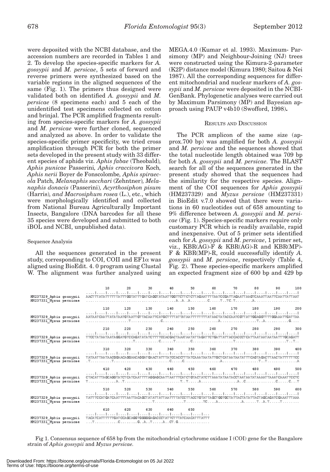were deposited with the NCBI database, and the accession numbers are recorded in Tables 1 and 2. To develop the species-specific markers for *A. gossypii* and *M. persicae*, 5 sets of forward and reverse primers were synthesized based on the variable regions in the aligned sequences of the same (Fig. 1). The primers thus designed were validated both on identified *A. gossypii* and *M. persicae* (8 specimens each) and 5 each of the unidentified test specimens collected on cotton and brinjal. The PCR amplified fragments resulting from species-specific markers for *A. gossypii* and *M. persicae* were further cloned, sequenced and analyzed as above. In order to validate the species-specific primer specificity, we tried cross amplification through PCR for both the primer sets developed in the present study with 33 different species of aphids viz. *Aphis fabae* (Theobald)*, Aphis punicae* Passerini*, Aphis craccivora* Koch*, Aphis nerii* Boyer de Fonscolombe*, Aphis spiraecola* Patch*, Melanaphis sacchari* (Zehntner)*, Melanaphis donacis* (Passerini)*, Acyrthosiphon pisum*  (Harris)*, and Macrosiphum rosea* (L.), etc., which were morphologically identified and collected from National Bureau Agriculturally Important Insects, Bangalore (DNA barcodes for all these 35 species were developed and submitted to both iBOL and NCBI, unpublished data).

# Sequence Analysis

All the sequences generated in the present study, corresponding to COI, COII and  $EFA$  was aligned using BioEdit. 4. 0 program using Clustal W. The alignment was further analyzed using MEGA.4.0 (Kumar et al. 1993). Maximum- Parsimony (MP) and Neighbour-Joining (NJ) trees were constructed using the Kimura-2-parameter (K2P) distance model (Kimura 1980; Saitou & Nei 1987). All the corresponding sequences for different mitochondrial and nuclear markers of *A. gossypii* and *M. persicae* were deposited in the NCBI-GenBank. Phylogenetic analyses were carried out by Maximum Parsimony (MP) and Bayesian approach using PAUP v4b10 (Swofford, 1998)**.**

# RESULTS AND DISCUSSION

The PCR amplicon of the same size (approx.700 bp) was amplified for both *A. gossypii*  and *M. persicae* and the sequences showed that the total nucleotide length obtained was 709 bp for both *A. gossypii* and *M. persicae.* The BLAST search for all of the sequences generated in the present study showed that the sequences had the similarity for the respective species. Alignment of the COI sequences for *Aphis gossypii* (HM237329) and *Myzus persicae* (HM237331) in BioEdit v.7.0 showed that there were variations in 60 nucleotides out of 658 amounting to 9% difference between *A. gossypii* and *M. persicae* (Fig. 1). Species-specific markers require only customary PCR which is readily available, rapid and inexpensive. Out of 5 primer sets identified each for *A. gossypii* and *M. persicae*, 1 primer set, viz.,  $KBR(AG)$ -F &  $KBR(AG)$ -R and  $KBR(MP)$ -F & KBR(MP)-R, could successfully identify *A. gossypii* and *M. persicae*, respectively (Table 4, Fig. 2). These species-specific markers amplified an expected fragment size of 600 bp and 429 bp

|                                                    | 10                                                                                                                                                                                                                                        | 20  |                                         | 30 40 50 60 70 80 90 100 |  |  |  |
|----------------------------------------------------|-------------------------------------------------------------------------------------------------------------------------------------------------------------------------------------------------------------------------------------------|-----|-----------------------------------------|--------------------------|--|--|--|
| HM237329 Aphis gossypii<br>HM237331 Mysus persicae | المتما وتما ومساحتها وتمارسوا وتمرا وتمرا وتمرا وتمرا وتمرا وتمرا وتمرا وتمامسا وتماسط وتباريها<br>AACT TT ATA TT TTT TA TTT GG TAT TT GAT CA GGT ATA AT TGG TTCTT CT CTT AGAAT TT TAA TC CGATT AGAATT AA GTC AAATT AA TTC AA TTA TT AAT  |     |                                         |                          |  |  |  |
|                                                    | 110                                                                                                                                                                                                                                       |     | 120 130 140 150 160 170 180 190 200     |                          |  |  |  |
| HM237329 Aphis gossypii<br>HM237331 Mysus persicae | المتما المتما المتما المتما المتما المتما المتما المتما لمتما المتما لمتما المتما المتما المتما المتما المتم<br>AATAAT CAATT ATA TAATG TAATT GT TACAATTCATGCT TTT AT TAT AATTT TT TTT AT AAC TATACCAATC GTT AT TGGAGGTT TT GGAAATTGAT TAA |     |                                         |                          |  |  |  |
|                                                    | 210                                                                                                                                                                                                                                       | 220 | 230 240 250 260 270 280 290 300         |                          |  |  |  |
| HM237329 Aphis gossypii<br>HM237331 Mysus persicae | المتطربينا المتطربين المتطربين المتمل لمتنا والمتحا والمناطق المتحا والمتحا والمحامي المتحا لمتحا لمتحا<br>TTCCTATAATAATAGGATGTCCAGATATATCTTTTCCACGACTAAATAATATTAGATTCTGATTATTACCACCCTCATTAATAATAATAATTTGCAGATT                           |     |                                         |                          |  |  |  |
|                                                    |                                                                                                                                                                                                                                           |     | 310 320 330 340 350 360 370 380 390 400 |                          |  |  |  |
| HM237329 Aphis gossypii<br>HM237331 Mysus persicae | المتما المتما المتما المتما المتمار لمنتمل لمتما المتمار لمتمار لمتمار لمتمار لمتمار لمتمار لمتمار لمتمار للمنا<br>TATAAT TAATAACGGAACAGGAACAGGAT GAACTATT TA TOCAC CIT TA TCAAA TAA TATTG CT CATAA TAT AT CAGTAGAC TT AAC TA TIT TT TCC  |     |                                         |                          |  |  |  |
|                                                    | 410                                                                                                                                                                                                                                       |     | 420 430 440 450 460 470 480 490 500     |                          |  |  |  |
| HM237329 Aphis gossypii<br>HM237331 Mysus persicae |                                                                                                                                                                                                                                           |     |                                         |                          |  |  |  |
|                                                    | 510                                                                                                                                                                                                                                       |     | 520 530 540 550 560 570 580 590 600     |                          |  |  |  |
| HM237329 Aphis gossypii<br>HM237331 Mysus persicae | بالمتنا ويتبارغ بماردتنا وتتنازعون المتنازعينا وتنبار وتنازعتنا وتتنازعون المتراسين والمنازعتين وتنازعت<br>TATT TC CAT GATCAAT TTT AA TTA CAGCT AT ATT ATT AATTT TATCC TT ACC TG TAT TAGCT GG TGC TATT ACT ATT ACT AGC AGATC GAAAT TT AAA |     |                                         |                          |  |  |  |
|                                                    | 610                                                                                                                                                                                                                                       | 620 | 630 640 650                             |                          |  |  |  |
| HM237329 Aphis gossvpii                            | وتمار ومنازعتها وممارستها وممارستا وممارستا وممارسته<br>TACA TCATT TT TTGAT CCA GCAGG TG GGG GA GAC CCT AT TCT TTATCAA CAT TT ATT T                                                                                                       |     |                                         |                          |  |  |  |
| HM237331 Mussic nercicae                           | TCC GATACTG                                                                                                                                                                                                                               |     |                                         |                          |  |  |  |

Fig 1. Consensus sequence of 658 bp from the mitochondrial cytochrome oxidase I (COI) gene for the Bangalore strain of *Aphis gossypii* and *Myzus persicae.*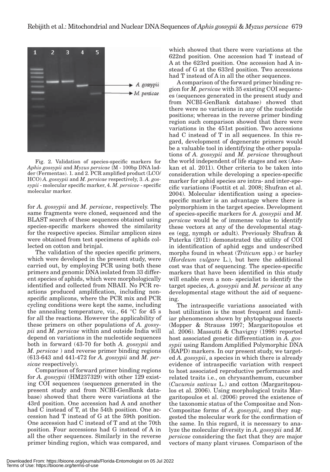

Fig. 2. Validation of species-specific markers for *Aphis gossypii* and *Myzus persicae* {M - 100bp DNA ladder (Fermentas). 1. and 2. PCR amplified product (LCO/ HCO) *A. gossypii* and *M. persicae* respectively, 3. *A. gossypii* - molecular specific marker, 4. *M. persicae* - specific molecular marker.

for *A. gossypii* and *M. persicae*, respectively. The same fragments were cloned, sequenced and the BLAST search of these sequences obtained using species-specific markers showed the similarity for the respective species. Similar amplicon sizes were obtained from test specimens of aphids collected on cotton and brinjal.

The validation of the species specific primers, which were developed in the present study, were carried out, by employing PCR using both these primers and genomic DNA isolated from 33 different species of aphids, which were morphologically identified and collected from NBAII. No PCR reactions produced amplification, including nonspecific amplicons, where the PCR mix and PCR cycling conditions were kept the same, including the annealing temperature, viz., 64 °C for 45 s for all the reactions. However the applicability of these primers on other populations of *A. gossypii* and *M. persicae* within and outside India will depend on variations in the nucleotide sequences both in forward (43-70 for both *A. gossypii* and *M. persicae* ) and reverse primer binding regions (613-643 and 441-472 for *A. gossypii* and *M. persicae* respectively).

Comparison of forward primer binding regions for *A. gossypii* (HM237329) with other 129 existing COI sequences (sequences generated in the present study and from NCBI-GenBank database) showed that there were variations at the 43rd position. One accession had A and another had C instead of T, at the 54th position. One accession had T instead of G at the 59th position. One accession had C instead of T and at the 70th position. Four accessions had G instead of A in all the other sequences. Similarly in the reverse primer binding region, which was compared, and

which showed that there were variations at the 622nd position. One accession had T instead of A at the 623rd position. One accession had A instead of G at the 633rd position. Two accessions had T instead of A in all the other sequences.

A comparison of the forward primer binding region for *M. persicae* with 35 existing COI sequences (sequences generated in the present study and from NCBI-GenBank database) showed that there were no variations in any of the nucleotide positions; whereas in the reverse primer binding region such comparison showed that there were variations in the 451st position. Two accessions had C instead of T in all sequences. In this regard, development of degenerate primers would be a valuable tool in identifying the other populations of *A. gossypii* and *M. persicae* throughout the world independent of life stages and sex (Asokan et al. 2011). Other criteria to be taken into consideration while developing a species-specific marker for aphid species are intra- and inter-specific variations (Foottit et al. 2008; Shufran et al. 2004). Molecular identification using a speciesspecific marker is an advantage where there is polymorphism in the target species. Development of species-specific markers for *A. gossypii* and *M. persicae* would be of immense value to identify these vectors at any of the developmental stages (egg, nymph or adult). Previously Shufran & Puterka (2011) demonstrated the utility of COI in identification of aphid eggs and undescribed morphs found in wheat (*Triticum* spp.) or barley (*Hordeum vulgare* L.), but here the additional cost was that of sequencing. The species-specific markers that have been identified in this study will enable even a non- specialist to identify the target species, *A. gossypii* and *M. persicae* at any developmental stage without the aid of sequencing.

The intraspecific variations associated with host utilization is the most frequent and familiar phenomenon shown by phytophagous insects (Mopper & Strauss 1997; Margaritopoulos et al. 2006). Massutti & Chavigny (1998) reported host associated genetic differentiation in *A. gossypii* using Random Amplified Polymorphic DNA (RAPD) markers. In our present study, we targeted *A. gossypii*, a species in which there is already evidence of intraspecific variation with respect to host associated reproductive performance and related traits i.e., on chrysanthemum, cucumber (*Cucumis sativus* L.) and cotton (Margaritopoulos et al. 2006). Using morphological traits Margaritopoulos et al. (2006) proved the existence of the taxonomic status of the Compositae and Non-Compositae forms of *A. gossypii*, and they suggested the molecular work for the confirmation of the same. In this regard, it is necessary to analyze the molecular diversity in *A. gossypii* and *M. persicae* considering the fact that they are major vectors of many plant viruses*.* Comparison of the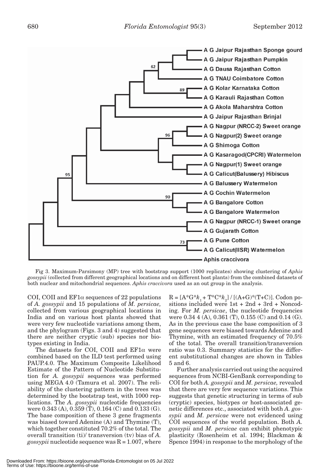

Fig 3. Maximum-Parsimony (MP) tree with bootstrap support (1000 replicates) showing clustering of *Aphis gossypii* (collected from different geographical locations and on different host plants) from the combined datasets of both nuclear and mitochondrial sequences. *Aphis craccivora* used as an out group in the analysis.

COI, COII and  $EFA$  sequences of 22 populations of *A. gossypii* and 15 populations of *M. persicae,*  collected from various geographical locations in India and on various host plants showed that were very few nucleotide variations among them, and the phylogram (Figs. 3 and 4) suggested that there are neither cryptic (sub) species nor biotypes existing in India.

The datasets for COI, COII and  $EFi\alpha$  were combined based on the ILD test performed using PAUP.4.0. The Maximum Composite Likelihood Estimate of the Pattern of Nucleotide Substitution for *A. gossypii* sequences was performed using MEGA 4.0 (Tamura et al. 2007). The reliability of the clustering pattern in the trees was determined by the bootstrap test, with 1000 replications. The *A. gossypii* nucleotide frequencies were 0.343 (A), 0.359 (T), 0.164 (C) and 0.133 (G). The base composition of these 3 gene fragments was biased toward Adenine (A) and Thymine (T), which together constituted 70.2% of the total. The overall transition (ti)/ transversion (tv) bias of *A. gossypii* nucleotide sequence was  $R = 1.007$ , where

 $R = [A^*G^*k_1 + T^*C^*k_2] / [(A+G)^*(T+C)].$  Codon positions included were 1st + 2nd + 3rd + Noncoding. For *M. persicae*, the nucleotide frequencies were 0.34 4 (A), 0.361 (T), 0.155 (C) and 0.14 (G). As in the previous case the base composition of 3 gene sequences were biased towards Adenine and Thymine, with an estimated frequency of 70.5% of the total. The overall transition/transversion ratio was 0.3. Summary statistics for the different substitutional changes are shown in Tables 5 and 6.

Further analysis carried out using the acquired sequences from NCBI-GenBank corresponding to COI for both *A. gossypii* and *M. persicae,* revealed that there are very few sequence variations. This suggests that genetic structuring in terms of sub (cryptic) species, biotypes or host-associated genetic differences etc., associated with both *A. gossypii* and *M. persicae* were not evidenced using COI sequences of the world population. Both *A. gossypii* and *M. persicae* can exhibit phenotypic plasticity (Rosenheim et al. 1994; Blackman & Spence 1994) in response to the morphology of the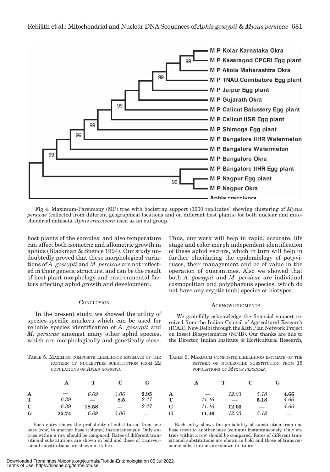

Fig 4. Maximum-Parsimony (MP) tree with bootstrap support (1000 replicates) showing clustering of *Myzus persicae* (collected from different geographical locations and on different host plants) for both nuclear and mitochondrial datasets. *Aphis craccivora* used as an out group.

host plants of the samples; and also temperature can affect both isometric and allometric growth in aphids (Blackman & Spence 1994). Our study undoubtedly proved that these morphological variations of *A. gossypii* and *M. persicae* are not reflected in their genetic structure, and can be the result of host plant morphology and environmental factors affecting aphid growth and development.

# **CONCLUSION**

In the present study, we showed the utility of species-specific markers which can be used for reliable species identification of *A. gossypii* and *M. persicae* amongst many other aphid species, which are morphologically and genetically close.

TABLE 5. MAXIMUM COMPOSITE LIKELIHOOD ESTIMATE OF THE PATTERN OF NUCLEOTIDE SUBSTITUTION FROM  $22$ POPULATIONS OF *APHIS GOSSYPII*.

|                      | А     | т     | C    | G    |
|----------------------|-------|-------|------|------|
| A                    | --    | 6.69  | 3.06 | 9.95 |
| $\tilde{\mathbf{T}}$ | 6.39  | --    | 8.5  | 2.47 |
| $\mathbf C$          | 6.39  | 18.58 | --   | 2.47 |
| G                    | 25.74 | 6.69  | 3.06 | --   |

Each entry shows the probability of substitution from one base (row) to another base (column) instantaneously. Only entries within a row should be compared. Rates of different transitional substitutions are shown in bold and those of transversional substitutions are shown in italics.

Thus, our work will help in rapid, accurate, life stage and color morph independent identification of these aphid vectors, which in turn will help in further elucidating the epidemiology of potyviruses, their management and be of value in the operation of quarantines. Also we showed that both *A. gossypii* and *M. persicae* are individual cosmopolitan and polyphagous species, which do not have any cryptic (sub) species or biotypes.

## **ACKNOWLEDGMENTS**

We gratefully acknowledge the financial support received from the Indian Council of Agricultural Research (ICAR), New Delhi through the XIth Plan Network Project on Insect Biosystematics (NPIB). Our thanks are due to the Director, Indian Institute of Horticultural Research,

TABLE 6. MAXIMUM COMPOSITE LIKELIHOOD ESTIMATE OF THE PATTERN OF NUCLEOTIDE SUBSTITUTION FROM  $15$ POPULATIONS OF *MYZUS PERSICAE.*

|             | А     | т                        | C    | G    |
|-------------|-------|--------------------------|------|------|
| A           |       | 12.03                    | 5.18 | 4.66 |
| T           | 11.46 | $\overline{\phantom{0}}$ | 5.18 | 4.66 |
| $\mathbf C$ | 11.46 | 12.03                    | _    | 4.66 |
| G           | 11.46 | 12.03                    | 5.18 | _    |

Each entry shows the probability of substitution from one base (row) to another base (column) instantaneously. Only entries within a row should be compared. Rates of different transitional substitutions are shown in bold and those of transversional substitutions are shown in italics.